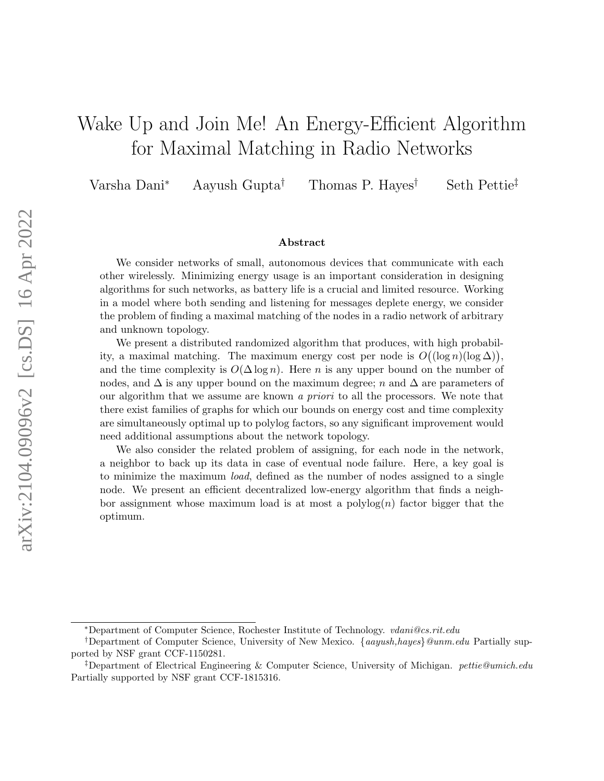# Wake Up and Join Me! An Energy-Efficient Algorithm for Maximal Matching in Radio Networks

Varsha Dani<sup>∗</sup> Aayush Gupta† Thomas P. Hayes† Seth Pettie‡

#### Abstract

We consider networks of small, autonomous devices that communicate with each other wirelessly. Minimizing energy usage is an important consideration in designing algorithms for such networks, as battery life is a crucial and limited resource. Working in a model where both sending and listening for messages deplete energy, we consider the problem of finding a maximal matching of the nodes in a radio network of arbitrary and unknown topology.

We present a distributed randomized algorithm that produces, with high probability, a maximal matching. The maximum energy cost per node is  $O((\log n)(\log \Delta)),$ and the time complexity is  $O(\Delta \log n)$ . Here *n* is any upper bound on the number of nodes, and  $\Delta$  is any upper bound on the maximum degree; n and  $\Delta$  are parameters of our algorithm that we assume are known a priori to all the processors. We note that there exist families of graphs for which our bounds on energy cost and time complexity are simultaneously optimal up to polylog factors, so any significant improvement would need additional assumptions about the network topology.

We also consider the related problem of assigning, for each node in the network, a neighbor to back up its data in case of eventual node failure. Here, a key goal is to minimize the maximum load, defined as the number of nodes assigned to a single node. We present an efficient decentralized low-energy algorithm that finds a neighbor assignment whose maximum load is at most a  $\text{polylog}(n)$  factor bigger that the optimum.

<sup>∗</sup>Department of Computer Science, Rochester Institute of Technology. vdani@cs.rit.edu

<sup>†</sup>Department of Computer Science, University of New Mexico. {aayush,hayes}@unm.edu Partially supported by NSF grant CCF-1150281.

<sup>‡</sup>Department of Electrical Engineering & Computer Science, University of Michigan. pettie@umich.edu Partially supported by NSF grant CCF-1815316.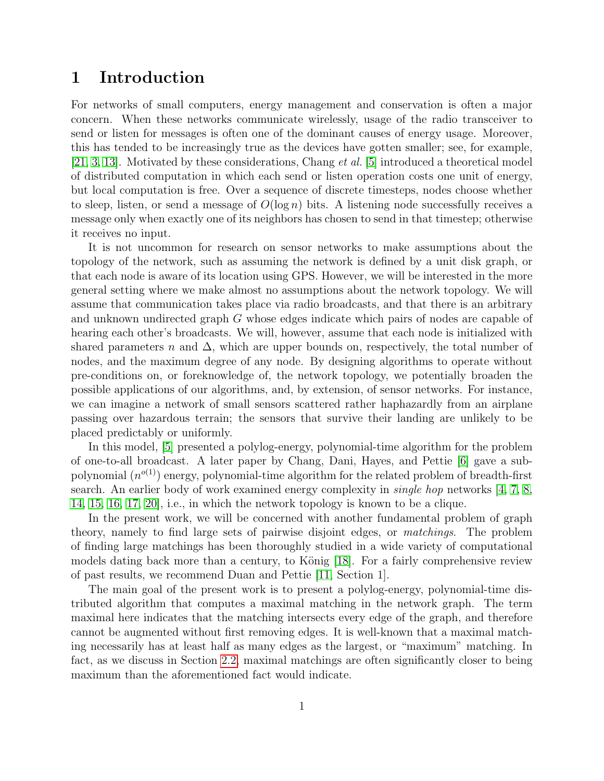# 1 Introduction

For networks of small computers, energy management and conservation is often a major concern. When these networks communicate wirelessly, usage of the radio transceiver to send or listen for messages is often one of the dominant causes of energy usage. Moreover, this has tended to be increasingly true as the devices have gotten smaller; see, for example, [\[21,](#page-22-0) [3,](#page-21-0) [13\]](#page-21-1). Motivated by these considerations, Chang et al. [\[5\]](#page-21-2) introduced a theoretical model of distributed computation in which each send or listen operation costs one unit of energy, but local computation is free. Over a sequence of discrete timesteps, nodes choose whether to sleep, listen, or send a message of  $O(\log n)$  bits. A listening node successfully receives a message only when exactly one of its neighbors has chosen to send in that timestep; otherwise it receives no input.

It is not uncommon for research on sensor networks to make assumptions about the topology of the network, such as assuming the network is defined by a unit disk graph, or that each node is aware of its location using GPS. However, we will be interested in the more general setting where we make almost no assumptions about the network topology. We will assume that communication takes place via radio broadcasts, and that there is an arbitrary and unknown undirected graph G whose edges indicate which pairs of nodes are capable of hearing each other's broadcasts. We will, however, assume that each node is initialized with shared parameters n and  $\Delta$ , which are upper bounds on, respectively, the total number of nodes, and the maximum degree of any node. By designing algorithms to operate without pre-conditions on, or foreknowledge of, the network topology, we potentially broaden the possible applications of our algorithms, and, by extension, of sensor networks. For instance, we can imagine a network of small sensors scattered rather haphazardly from an airplane passing over hazardous terrain; the sensors that survive their landing are unlikely to be placed predictably or uniformly.

In this model, [\[5\]](#page-21-2) presented a polylog-energy, polynomial-time algorithm for the problem of one-to-all broadcast. A later paper by Chang, Dani, Hayes, and Pettie [\[6\]](#page-21-3) gave a subpolynomial  $(n^{o(1)})$  energy, polynomial-time algorithm for the related problem of breadth-first search. An earlier body of work examined energy complexity in *single hop* networks  $\left[4, 7, 8\right]$  $\left[4, 7, 8\right]$  $\left[4, 7, 8\right]$  $\left[4, 7, 8\right]$ [14,](#page-22-1) [15,](#page-22-2) [16,](#page-22-3) [17,](#page-22-4) [20\]](#page-22-5), i.e., in which the network topology is known to be a clique.

In the present work, we will be concerned with another fundamental problem of graph theory, namely to find large sets of pairwise disjoint edges, or matchings. The problem of finding large matchings has been thoroughly studied in a wide variety of computational models dating back more than a century, to König  $[18]$ . For a fairly comprehensive review of past results, we recommend Duan and Pettie [\[11,](#page-21-7) Section 1].

The main goal of the present work is to present a polylog-energy, polynomial-time distributed algorithm that computes a maximal matching in the network graph. The term maximal here indicates that the matching intersects every edge of the graph, and therefore cannot be augmented without first removing edges. It is well-known that a maximal matching necessarily has at least half as many edges as the largest, or "maximum" matching. In fact, as we discuss in Section [2.2,](#page-4-0) maximal matchings are often significantly closer to being maximum than the aforementioned fact would indicate.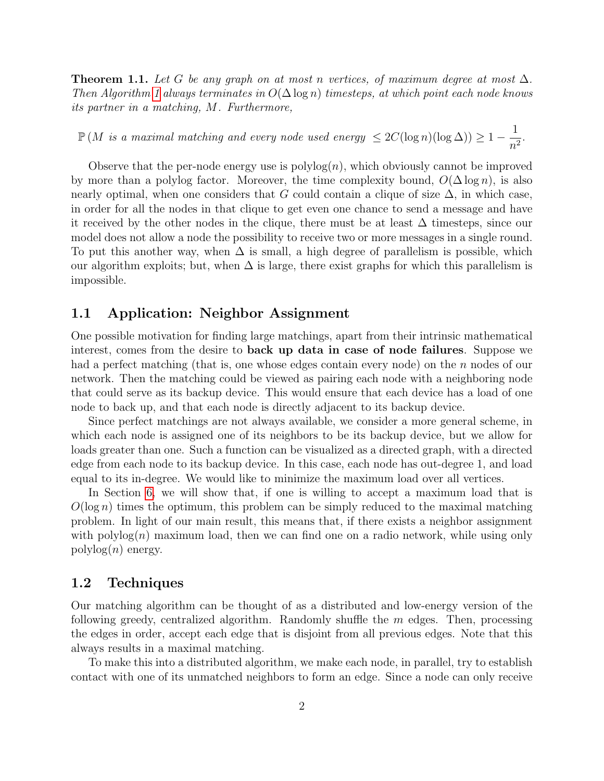<span id="page-2-0"></span>**Theorem 1.1.** Let G be any graph on at most n vertices, of maximum degree at most  $\Delta$ . Then Algorithm [1](#page-9-0) always terminates in  $O(\Delta \log n)$  timesteps, at which point each node knows its partner in a matching, M. Furthermore,

 $\mathbb{P}\left(M\,\,is\,\,a\,\,maximal\,\,matching\,\,and\,\,every\,\,node\,\,used\,\,energy\,\leq 2C(\log n)(\log\Delta) \right)\geq 1-\frac{1}{\gamma}.$  $\frac{1}{n^2}$ .

Observe that the per-node energy use is  $\text{polylog}(n)$ , which obviously cannot be improved by more than a polylog factor. Moreover, the time complexity bound,  $O(\Delta \log n)$ , is also nearly optimal, when one considers that G could contain a clique of size  $\Delta$ , in which case, in order for all the nodes in that clique to get even one chance to send a message and have it received by the other nodes in the clique, there must be at least  $\Delta$  timesteps, since our model does not allow a node the possibility to receive two or more messages in a single round. To put this another way, when  $\Delta$  is small, a high degree of parallelism is possible, which our algorithm exploits; but, when  $\Delta$  is large, there exist graphs for which this parallelism is impossible.

### 1.1 Application: Neighbor Assignment

One possible motivation for finding large matchings, apart from their intrinsic mathematical interest, comes from the desire to back up data in case of node failures. Suppose we had a perfect matching (that is, one whose edges contain every node) on the  $n$  nodes of our network. Then the matching could be viewed as pairing each node with a neighboring node that could serve as its backup device. This would ensure that each device has a load of one node to back up, and that each node is directly adjacent to its backup device.

Since perfect matchings are not always available, we consider a more general scheme, in which each node is assigned one of its neighbors to be its backup device, but we allow for loads greater than one. Such a function can be visualized as a directed graph, with a directed edge from each node to its backup device. In this case, each node has out-degree 1, and load equal to its in-degree. We would like to minimize the maximum load over all vertices.

In Section [6,](#page-17-0) we will show that, if one is willing to accept a maximum load that is  $O(\log n)$  times the optimum, this problem can be simply reduced to the maximal matching problem. In light of our main result, this means that, if there exists a neighbor assignment with  $\text{polylog}(n)$  maximum load, then we can find one on a radio network, while using only  $polylog(n)$  energy.

### 1.2 Techniques

Our matching algorithm can be thought of as a distributed and low-energy version of the following greedy, centralized algorithm. Randomly shuffle the  $m$  edges. Then, processing the edges in order, accept each edge that is disjoint from all previous edges. Note that this always results in a maximal matching.

To make this into a distributed algorithm, we make each node, in parallel, try to establish contact with one of its unmatched neighbors to form an edge. Since a node can only receive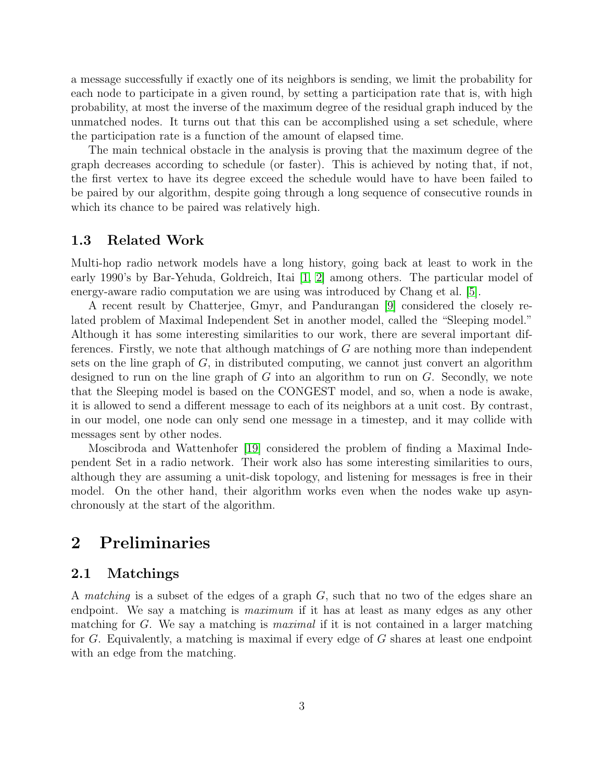a message successfully if exactly one of its neighbors is sending, we limit the probability for each node to participate in a given round, by setting a participation rate that is, with high probability, at most the inverse of the maximum degree of the residual graph induced by the unmatched nodes. It turns out that this can be accomplished using a set schedule, where the participation rate is a function of the amount of elapsed time.

The main technical obstacle in the analysis is proving that the maximum degree of the graph decreases according to schedule (or faster). This is achieved by noting that, if not, the first vertex to have its degree exceed the schedule would have to have been failed to be paired by our algorithm, despite going through a long sequence of consecutive rounds in which its chance to be paired was relatively high.

### 1.3 Related Work

Multi-hop radio network models have a long history, going back at least to work in the early 1990's by Bar-Yehuda, Goldreich, Itai [\[1,](#page-20-0) [2\]](#page-21-8) among others. The particular model of energy-aware radio computation we are using was introduced by Chang et al. [\[5\]](#page-21-2).

A recent result by Chatterjee, Gmyr, and Pandurangan [\[9\]](#page-21-9) considered the closely related problem of Maximal Independent Set in another model, called the "Sleeping model." Although it has some interesting similarities to our work, there are several important differences. Firstly, we note that although matchings of G are nothing more than independent sets on the line graph of  $G$ , in distributed computing, we cannot just convert an algorithm designed to run on the line graph of G into an algorithm to run on  $G$ . Secondly, we note that the Sleeping model is based on the CONGEST model, and so, when a node is awake, it is allowed to send a different message to each of its neighbors at a unit cost. By contrast, in our model, one node can only send one message in a timestep, and it may collide with messages sent by other nodes.

Moscibroda and Wattenhofer [\[19\]](#page-22-7) considered the problem of finding a Maximal Independent Set in a radio network. Their work also has some interesting similarities to ours, although they are assuming a unit-disk topology, and listening for messages is free in their model. On the other hand, their algorithm works even when the nodes wake up asynchronously at the start of the algorithm.

# 2 Preliminaries

### 2.1 Matchings

A matching is a subset of the edges of a graph G, such that no two of the edges share an endpoint. We say a matching is *maximum* if it has at least as many edges as any other matching for G. We say a matching is *maximal* if it is not contained in a larger matching for G. Equivalently, a matching is maximal if every edge of G shares at least one endpoint with an edge from the matching.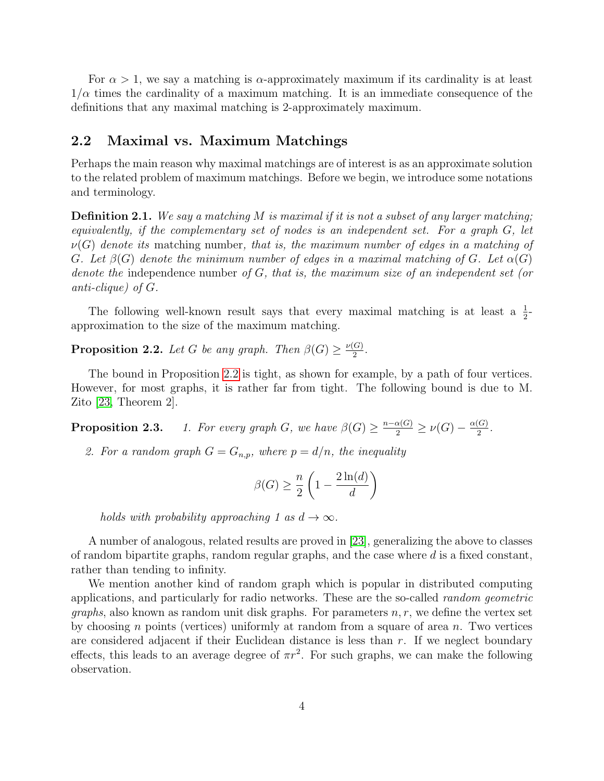For  $\alpha > 1$ , we say a matching is  $\alpha$ -approximately maximum if its cardinality is at least  $1/\alpha$  times the cardinality of a maximum matching. It is an immediate consequence of the definitions that any maximal matching is 2-approximately maximum.

### <span id="page-4-0"></span>2.2 Maximal vs. Maximum Matchings

Perhaps the main reason why maximal matchings are of interest is as an approximate solution to the related problem of maximum matchings. Before we begin, we introduce some notations and terminology.

**Definition 2.1.** We say a matching M is maximal if it is not a subset of any larger matching; equivalently, if the complementary set of nodes is an independent set. For a graph G, let  $\nu(G)$  denote its matching number, that is, the maximum number of edges in a matching of G. Let  $\beta(G)$  denote the minimum number of edges in a maximal matching of G. Let  $\alpha(G)$ denote the independence number of  $G$ , that is, the maximum size of an independent set (or anti-clique) of G.

The following well-known result says that every maximal matching is at least a  $\frac{1}{2}$ approximation to the size of the maximum matching.

<span id="page-4-1"></span>**Proposition 2.2.** Let G be any graph. Then  $\beta(G) \geq \frac{\nu(G)}{2}$  $\frac{(G)}{2}$ .

The bound in Proposition [2.2](#page-4-1) is tight, as shown for example, by a path of four vertices. However, for most graphs, it is rather far from tight. The following bound is due to M. Zito [\[23,](#page-22-8) Theorem 2].

**Proposition 2.3.** 1. For every graph G, we have  $\beta(G) \geq \frac{n-\alpha(G)}{2} \geq \nu(G) - \frac{\alpha(G)}{2}$  $\frac{(G)}{2}$ .

2. For a random graph  $G = G_{n,p}$ , where  $p = d/n$ , the inequality

$$
\beta(G) \ge \frac{n}{2} \left( 1 - \frac{2 \ln(d)}{d} \right)
$$

holds with probability approaching 1 as  $d \to \infty$ .

A number of analogous, related results are proved in [\[23\]](#page-22-8), generalizing the above to classes of random bipartite graphs, random regular graphs, and the case where  $d$  is a fixed constant, rather than tending to infinity.

We mention another kind of random graph which is popular in distributed computing applications, and particularly for radio networks. These are the so-called random geometric *graphs*, also known as random unit disk graphs. For parameters  $n, r$ , we define the vertex set by choosing n points (vertices) uniformly at random from a square of area  $n$ . Two vertices are considered adjacent if their Euclidean distance is less than  $r$ . If we neglect boundary effects, this leads to an average degree of  $\pi r^2$ . For such graphs, we can make the following observation.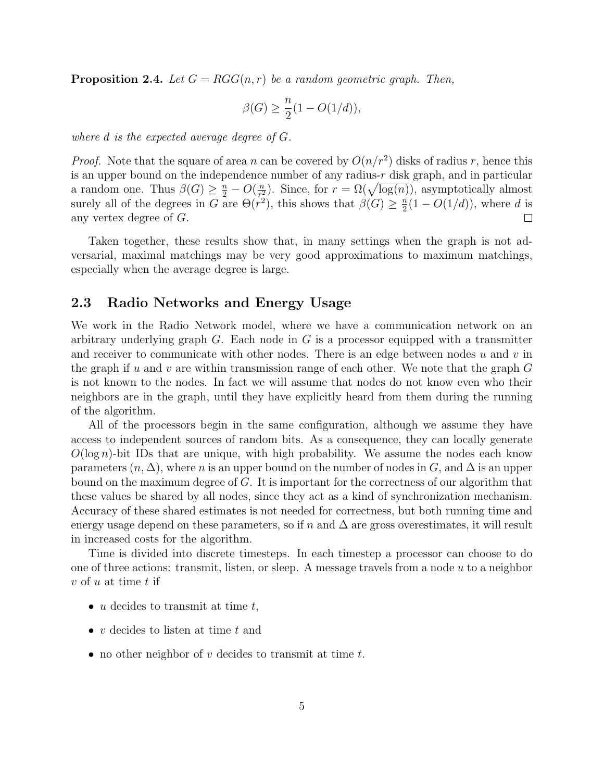**Proposition 2.4.** Let  $G = RGG(n, r)$  be a random geometric graph. Then,

$$
\beta(G) \ge \frac{n}{2}(1 - O(1/d)),
$$

where d is the expected average degree of G.

*Proof.* Note that the square of area n can be covered by  $O(n/r^2)$  disks of radius r, hence this is an upper bound on the independence number of any radius- $r$  disk graph, and in particular a random one. Thus  $\beta(G) \geq \frac{n}{2} - O(\frac{n}{r_s^2})$  $(\frac{n}{r_1^2})$ . Since, for  $r = \Omega(\sqrt{\log(n)})$ , asymptotically almost surely all of the degrees in G are  $\Theta(r^2)$ , this shows that  $\beta(G) \geq \frac{n}{2}$  $\frac{n}{2}(1 - O(1/d))$ , where d is any vertex degree of G.  $\Box$ 

Taken together, these results show that, in many settings when the graph is not adversarial, maximal matchings may be very good approximations to maximum matchings, especially when the average degree is large.

## 2.3 Radio Networks and Energy Usage

We work in the Radio Network model, where we have a communication network on an arbitrary underlying graph G. Each node in G is a processor equipped with a transmitter and receiver to communicate with other nodes. There is an edge between nodes  $u$  and  $v$  in the graph if u and v are within transmission range of each other. We note that the graph  $G$ is not known to the nodes. In fact we will assume that nodes do not know even who their neighbors are in the graph, until they have explicitly heard from them during the running of the algorithm.

All of the processors begin in the same configuration, although we assume they have access to independent sources of random bits. As a consequence, they can locally generate  $O(\log n)$ -bit IDs that are unique, with high probability. We assume the nodes each know parameters  $(n, \Delta)$ , where *n* is an upper bound on the number of nodes in G, and  $\Delta$  is an upper bound on the maximum degree of G. It is important for the correctness of our algorithm that these values be shared by all nodes, since they act as a kind of synchronization mechanism. Accuracy of these shared estimates is not needed for correctness, but both running time and energy usage depend on these parameters, so if n and  $\Delta$  are gross overestimates, it will result in increased costs for the algorithm.

Time is divided into discrete timesteps. In each timestep a processor can choose to do one of three actions: transmit, listen, or sleep. A message travels from a node  $u$  to a neighbor  $v$  of  $u$  at time  $t$  if

- u decides to transmit at time  $t$ ,
- $v$  decides to listen at time  $t$  and
- no other neighbor of  $v$  decides to transmit at time  $t$ .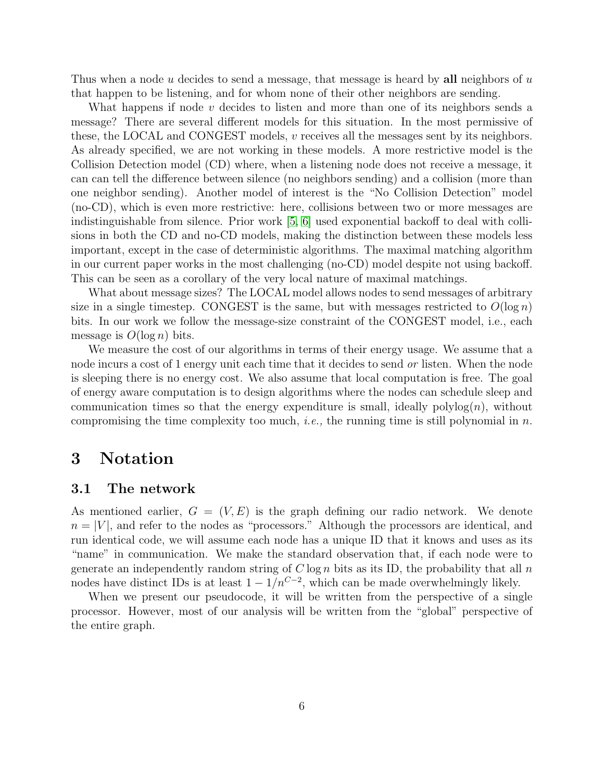Thus when a node u decides to send a message, that message is heard by all neighbors of  $u$ that happen to be listening, and for whom none of their other neighbors are sending.

What happens if node  $v$  decides to listen and more than one of its neighbors sends a message? There are several different models for this situation. In the most permissive of these, the LOCAL and CONGEST models, v receives all the messages sent by its neighbors. As already specified, we are not working in these models. A more restrictive model is the Collision Detection model (CD) where, when a listening node does not receive a message, it can can tell the difference between silence (no neighbors sending) and a collision (more than one neighbor sending). Another model of interest is the "No Collision Detection" model (no-CD), which is even more restrictive: here, collisions between two or more messages are indistinguishable from silence. Prior work [\[5,](#page-21-2) [6\]](#page-21-3) used exponential backoff to deal with collisions in both the CD and no-CD models, making the distinction between these models less important, except in the case of deterministic algorithms. The maximal matching algorithm in our current paper works in the most challenging (no-CD) model despite not using backoff. This can be seen as a corollary of the very local nature of maximal matchings.

What about message sizes? The LOCAL model allows nodes to send messages of arbitrary size in a single timestep. CONGEST is the same, but with messages restricted to  $O(\log n)$ bits. In our work we follow the message-size constraint of the CONGEST model, i.e., each message is  $O(\log n)$  bits.

We measure the cost of our algorithms in terms of their energy usage. We assume that a node incurs a cost of 1 energy unit each time that it decides to send or listen. When the node is sleeping there is no energy cost. We also assume that local computation is free. The goal of energy aware computation is to design algorithms where the nodes can schedule sleep and communication times so that the energy expenditure is small, ideally  $\text{polylog}(n)$ , without compromising the time complexity too much, *i.e.*, the running time is still polynomial in n.

# 3 Notation

#### 3.1 The network

As mentioned earlier,  $G = (V, E)$  is the graph defining our radio network. We denote  $n = |V|$ , and refer to the nodes as "processors." Although the processors are identical, and run identical code, we will assume each node has a unique ID that it knows and uses as its "name" in communication. We make the standard observation that, if each node were to generate an independently random string of  $C \log n$  bits as its ID, the probability that all n nodes have distinct IDs is at least  $1 - 1/n^{C-2}$ , which can be made overwhelmingly likely.

When we present our pseudocode, it will be written from the perspective of a single processor. However, most of our analysis will be written from the "global" perspective of the entire graph.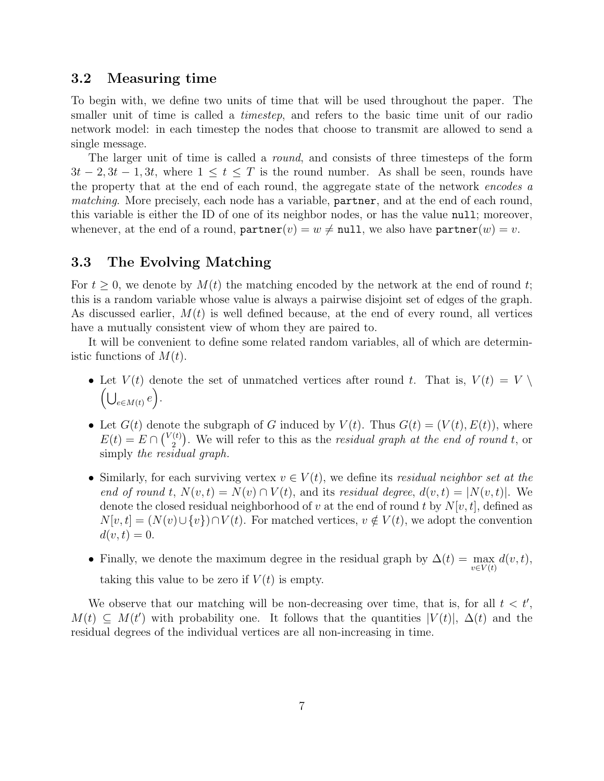### 3.2 Measuring time

To begin with, we define two units of time that will be used throughout the paper. The smaller unit of time is called a *timestep*, and refers to the basic time unit of our radio network model: in each timestep the nodes that choose to transmit are allowed to send a single message.

The larger unit of time is called a *round*, and consists of three timesteps of the form  $3t-2, 3t-1, 3t$ , where  $1 \le t \le T$  is the round number. As shall be seen, rounds have the property that at the end of each round, the aggregate state of the network encodes a matching. More precisely, each node has a variable, partner, and at the end of each round, this variable is either the ID of one of its neighbor nodes, or has the value null; moreover, whenever, at the end of a round,  $\texttt{partner}(v) = w \neq \texttt{null}$ , we also have  $\texttt{partner}(w) = v$ .

## 3.3 The Evolving Matching

For  $t \geq 0$ , we denote by  $M(t)$  the matching encoded by the network at the end of round t; this is a random variable whose value is always a pairwise disjoint set of edges of the graph. As discussed earlier,  $M(t)$  is well defined because, at the end of every round, all vertices have a mutually consistent view of whom they are paired to.

It will be convenient to define some related random variables, all of which are deterministic functions of  $M(t)$ .

- Let  $V(t)$  denote the set of unmatched vertices after round t. That is,  $V(t) = V \setminus$  $\left(\bigcup_{e \in M(t)} e\right).$
- Let  $G(t)$  denote the subgraph of G induced by  $V(t)$ . Thus  $G(t) = (V(t), E(t))$ , where  $E(t) = E \cap {V(t) \choose 2}$  $\binom{p(t)}{2}$ . We will refer to this as the *residual graph at the end of round t*, or simply the residual graph.
- Similarly, for each surviving vertex  $v \in V(t)$ , we define its residual neighbor set at the end of round t,  $N(v,t) = N(v) \cap V(t)$ , and its residual degree,  $d(v,t) = |N(v,t)|$ . We denote the closed residual neighborhood of v at the end of round t by  $N[v, t]$ , defined as  $N[v, t] = (N(v) \cup \{v\}) \cap V(t)$ . For matched vertices,  $v \notin V(t)$ , we adopt the convention  $d(v, t) = 0.$
- Finally, we denote the maximum degree in the residual graph by  $\Delta(t) = \max_{v \in V(t)} d(v, t)$ , taking this value to be zero if  $V(t)$  is empty.

We observe that our matching will be non-decreasing over time, that is, for all  $t < t'$ ,  $M(t) \subseteq M(t')$  with probability one. It follows that the quantities  $|V(t)|$ ,  $\Delta(t)$  and the residual degrees of the individual vertices are all non-increasing in time.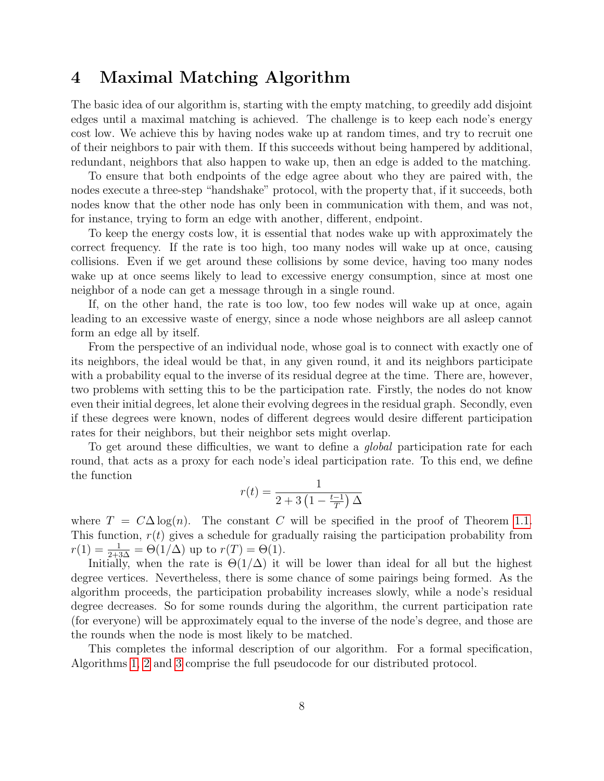# 4 Maximal Matching Algorithm

The basic idea of our algorithm is, starting with the empty matching, to greedily add disjoint edges until a maximal matching is achieved. The challenge is to keep each node's energy cost low. We achieve this by having nodes wake up at random times, and try to recruit one of their neighbors to pair with them. If this succeeds without being hampered by additional, redundant, neighbors that also happen to wake up, then an edge is added to the matching.

To ensure that both endpoints of the edge agree about who they are paired with, the nodes execute a three-step "handshake" protocol, with the property that, if it succeeds, both nodes know that the other node has only been in communication with them, and was not, for instance, trying to form an edge with another, different, endpoint.

To keep the energy costs low, it is essential that nodes wake up with approximately the correct frequency. If the rate is too high, too many nodes will wake up at once, causing collisions. Even if we get around these collisions by some device, having too many nodes wake up at once seems likely to lead to excessive energy consumption, since at most one neighbor of a node can get a message through in a single round.

If, on the other hand, the rate is too low, too few nodes will wake up at once, again leading to an excessive waste of energy, since a node whose neighbors are all asleep cannot form an edge all by itself.

From the perspective of an individual node, whose goal is to connect with exactly one of its neighbors, the ideal would be that, in any given round, it and its neighbors participate with a probability equal to the inverse of its residual degree at the time. There are, however, two problems with setting this to be the participation rate. Firstly, the nodes do not know even their initial degrees, let alone their evolving degrees in the residual graph. Secondly, even if these degrees were known, nodes of different degrees would desire different participation rates for their neighbors, but their neighbor sets might overlap.

To get around these difficulties, we want to define a *global* participation rate for each round, that acts as a proxy for each node's ideal participation rate. To this end, we define the function

$$
r(t) = \frac{1}{2 + 3\left(1 - \frac{t-1}{T}\right)\Delta}
$$

where  $T = C\Delta \log(n)$ . The constant C will be specified in the proof of Theorem [1.1.](#page-2-0) This function,  $r(t)$  gives a schedule for gradually raising the participation probability from  $r(1) = \frac{1}{2+3\Delta} = \Theta(1/\Delta)$  up to  $r(T) = \Theta(1)$ .

Initially, when the rate is  $\Theta(1/\Delta)$  it will be lower than ideal for all but the highest degree vertices. Nevertheless, there is some chance of some pairings being formed. As the algorithm proceeds, the participation probability increases slowly, while a node's residual degree decreases. So for some rounds during the algorithm, the current participation rate (for everyone) will be approximately equal to the inverse of the node's degree, and those are the rounds when the node is most likely to be matched.

This completes the informal description of our algorithm. For a formal specification, Algorithms [1,](#page-9-0) [2](#page-9-1) and [3](#page-10-0) comprise the full pseudocode for our distributed protocol.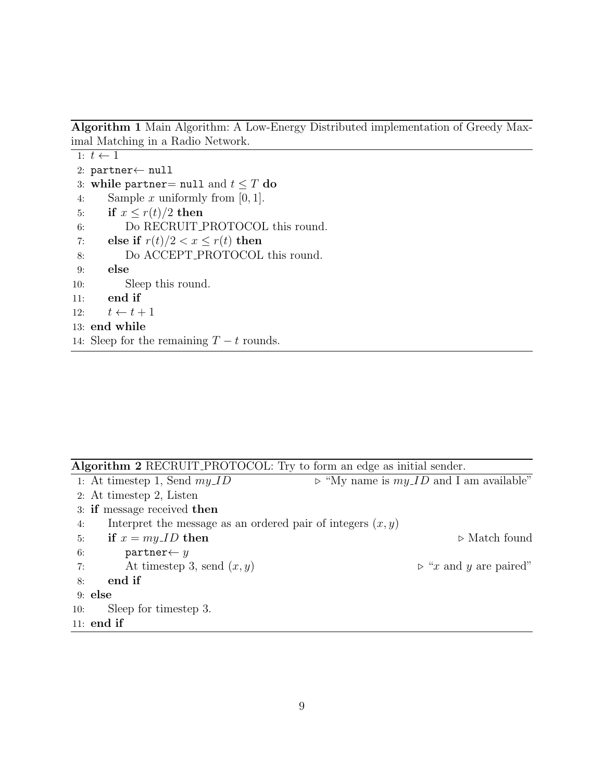<span id="page-9-0"></span>Algorithm 1 Main Algorithm: A Low-Energy Distributed implementation of Greedy Maximal Matching in a Radio Network.

```
1: t \leftarrow 12: partner← null
3: while partner= null and t \leq T do
4: Sample x uniformly from [0, 1].
5: if x \leq r(t)/2 then
6: Do RECRUIT PROTOCOL this round.
7: else if r(t)/2 < x \leq r(t) then
8: Do ACCEPT_PROTOCOL this round.
9: else
10: Sleep this round.
11: end if
12: t \leftarrow t + 113: end while
14: Sleep for the remaining T - t rounds.
```
<span id="page-9-1"></span>

| <b>Algorithm 2</b> RECRUIT_PROTOCOL: Try to form an edge as initial sender. |                                                           |
|-----------------------------------------------------------------------------|-----------------------------------------------------------|
| 1: At timestep 1, Send $my\_ID$                                             | $\triangleright$ "My name is $my\_ID$ and I am available" |
| 2: At timestep 2, Listen                                                    |                                                           |
| 3: if message received then                                                 |                                                           |
| Interpret the message as an ordered pair of integers $(x, y)$<br>4:         |                                                           |
| if $x = my\_ID$ then<br>5:                                                  | $\triangleright$ Match found                              |
| $partner \leftarrow y$<br>6:                                                |                                                           |
| At timestep 3, send $(x, y)$<br>7:                                          | $\triangleright$ "x and y are paired"                     |
| end if<br>8:                                                                |                                                           |
| $9:$ else                                                                   |                                                           |
| Sleep for timestep 3.<br>10:                                                |                                                           |
| $11:$ end if                                                                |                                                           |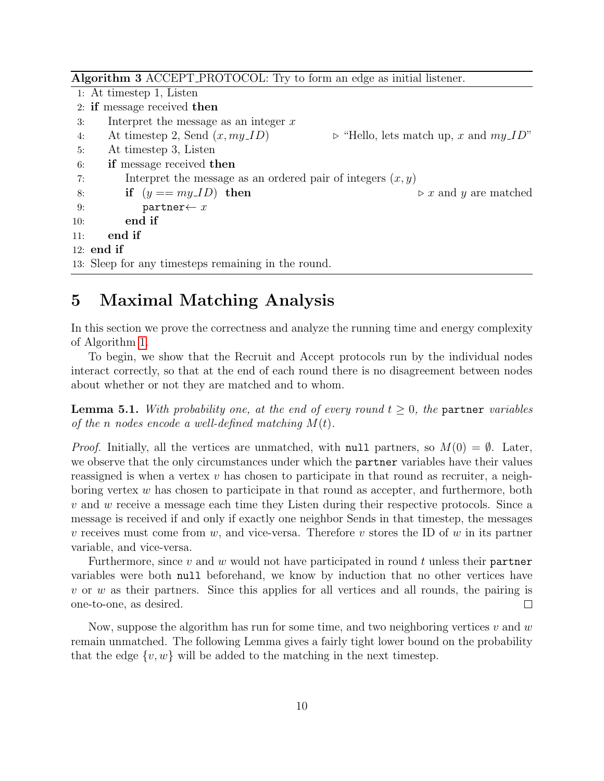<span id="page-10-0"></span>

| Algorithm 3 ACCEPT_PROTOCOL: Try to form an edge as initial listener. |                                                                                           |  |
|-----------------------------------------------------------------------|-------------------------------------------------------------------------------------------|--|
|                                                                       | 1: At timestep 1, Listen                                                                  |  |
|                                                                       | 2: if message received then                                                               |  |
| 3:                                                                    | Interpret the message as an integer $x$                                                   |  |
| 4:                                                                    | At timestep 2, Send $(x, my\_ID)$<br>$\triangleright$ "Hello, lets match up, x and my_ID" |  |
| 5:                                                                    | At timestep 3, Listen                                                                     |  |
| 6:                                                                    | if message received then                                                                  |  |
| 7:                                                                    | Interpret the message as an ordered pair of integers $(x, y)$                             |  |
| 8:                                                                    | if $(y == my.ID)$ then<br>$\triangleright x$ and y are matched                            |  |
| 9:                                                                    | $partner \leftarrow x$                                                                    |  |
| 10:                                                                   | end if                                                                                    |  |
| 11:                                                                   | end if                                                                                    |  |
|                                                                       | $12:$ end if                                                                              |  |
|                                                                       | 13: Sleep for any timesteps remaining in the round.                                       |  |

# 5 Maximal Matching Analysis

In this section we prove the correctness and analyze the running time and energy complexity of Algorithm [1.](#page-9-0)

To begin, we show that the Recruit and Accept protocols run by the individual nodes interact correctly, so that at the end of each round there is no disagreement between nodes about whether or not they are matched and to whom.

**Lemma 5.1.** With probability one, at the end of every round  $t \geq 0$ , the partner variables of the n nodes encode a well-defined matching  $M(t)$ .

*Proof.* Initially, all the vertices are unmatched, with null partners, so  $M(0) = \emptyset$ . Later, we observe that the only circumstances under which the partner variables have their values reassigned is when a vertex  $v$  has chosen to participate in that round as recruiter, a neighboring vertex  $w$  has chosen to participate in that round as accepter, and furthermore, both v and w receive a message each time they Listen during their respective protocols. Since a message is received if and only if exactly one neighbor Sends in that timestep, the messages v receives must come from w, and vice-versa. Therefore v stores the ID of w in its partner variable, and vice-versa.

Furthermore, since v and w would not have participated in round t unless their partner variables were both null beforehand, we know by induction that no other vertices have  $v$  or  $w$  as their partners. Since this applies for all vertices and all rounds, the pairing is  $\Box$ one-to-one, as desired.

Now, suppose the algorithm has run for some time, and two neighboring vertices v and w remain unmatched. The following Lemma gives a fairly tight lower bound on the probability that the edge  $\{v, w\}$  will be added to the matching in the next timestep.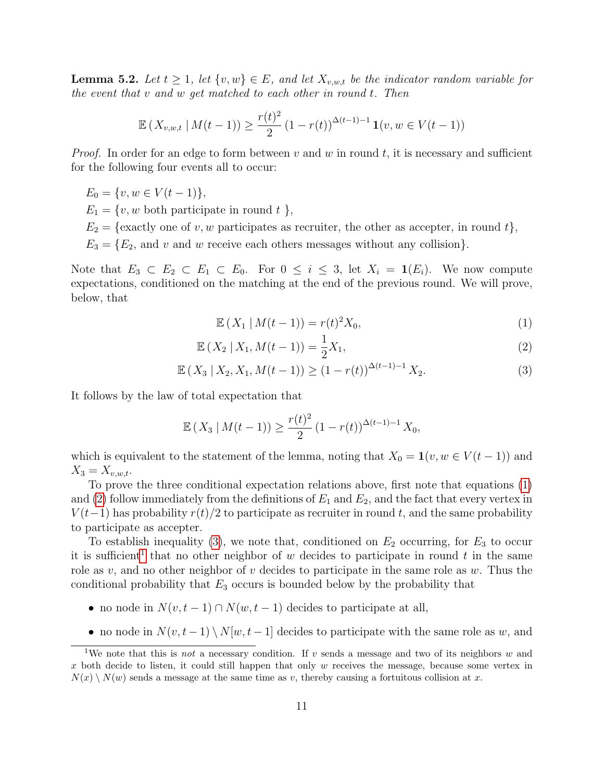<span id="page-11-4"></span>**Lemma 5.2.** Let  $t \geq 1$ , let  $\{v, w\} \in E$ , and let  $X_{v,w,t}$  be the indicator random variable for the event that v and w get matched to each other in round t. Then

$$
\mathbb{E}\left(X_{v,w,t} \mid M(t-1)\right) \ge \frac{r(t)^2}{2} \left(1 - r(t)\right)^{\Delta(t-1)-1} \mathbf{1}(v, w \in V(t-1))
$$

*Proof.* In order for an edge to form between v and w in round t, it is necessary and sufficient for the following four events all to occur:

 $E_0 = \{v, w \in V(t-1)\},\,$ 

 $E_1 = \{v, w \text{ both participate in round } t\},\$ 

- $E_2 = \{\text{exactly one of } v, w \text{ participates as recurrence, the other as accepter, in round } t\},\$
- $E_3 = \{E_2, \text{ and } v \text{ and } w \text{ receive each others messages without any collision}\}.$

Note that  $E_3 \subset E_2 \subset E_1 \subset E_0$ . For  $0 \le i \le 3$ , let  $X_i = \mathbf{1}(E_i)$ . We now compute expectations, conditioned on the matching at the end of the previous round. We will prove, below, that

<span id="page-11-2"></span><span id="page-11-1"></span><span id="page-11-0"></span>
$$
\mathbb{E}(X_1 \, | \, M(t-1)) = r(t)^2 X_0,\tag{1}
$$

$$
\mathbb{E}\left(X_2 \mid X_1, M(t-1)\right) = \frac{1}{2}X_1,\tag{2}
$$

$$
\mathbb{E}\left(X_3 \mid X_2, X_1, M(t-1)\right) \ge (1 - r(t))^{\Delta(t-1)-1} X_2. \tag{3}
$$

It follows by the law of total expectation that

$$
\mathbb{E}\left(X_3 \mid M(t-1)\right) \ge \frac{r(t)^2}{2} \left(1 - r(t)\right)^{\Delta(t-1)-1} X_0,
$$

which is equivalent to the statement of the lemma, noting that  $X_0 = \mathbf{1}(v, w \in V(t-1))$  and  $X_3 = X_{v,w,t}.$ 

To prove the three conditional expectation relations above, first note that equations [\(1\)](#page-11-0) and [\(2\)](#page-11-1) follow immediately from the definitions of  $E_1$  and  $E_2$ , and the fact that every vertex in  $V(t-1)$  has probability  $r(t)/2$  to participate as recruiter in round t, and the same probability to participate as accepter.

To establish inequality [\(3\)](#page-11-2), we note that, conditioned on  $E_2$  occurring, for  $E_3$  to occur it is sufficient<sup>[1](#page-11-3)</sup> that no other neighbor of w decides to participate in round t in the same role as  $v$ , and no other neighbor of  $v$  decides to participate in the same role as  $w$ . Thus the conditional probability that  $E_3$  occurs is bounded below by the probability that

- no node in  $N(v, t-1) \cap N(w, t-1)$  decides to participate at all,
- no node in  $N(v, t-1) \setminus N[w, t-1]$  decides to participate with the same role as w, and

<span id="page-11-3"></span><sup>&</sup>lt;sup>1</sup>We note that this is not a necessary condition. If v sends a message and two of its neighbors w and  $x$  both decide to listen, it could still happen that only  $w$  receives the message, because some vertex in  $N(x) \setminus N(w)$  sends a message at the same time as v, thereby causing a fortuitous collision at x.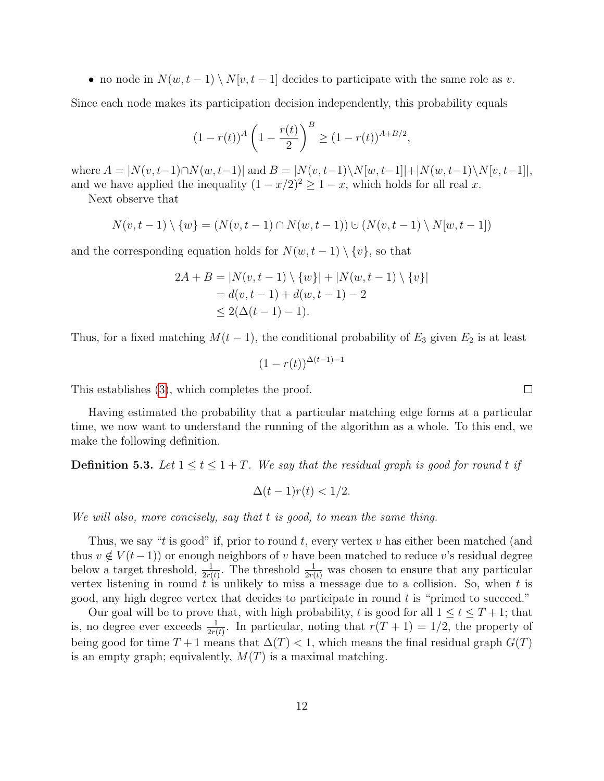• no node in  $N(w, t-1) \setminus N[v, t-1]$  decides to participate with the same role as v.

Since each node makes its participation decision independently, this probability equals

$$
(1 - r(t))^{A} \left(1 - \frac{r(t)}{2}\right)^{B} \ge (1 - r(t))^{A + B/2},
$$

where  $A = |N(v, t-1) \cap N(w, t-1)|$  and  $B = |N(v, t-1) \setminus N(w, t-1)| + |N(w, t-1) \setminus N[v, t-1]|$ , and we have applied the inequality  $(1 - x/2)^2 \geq 1 - x$ , which holds for all real x.

Next observe that

$$
N(v, t-1) \setminus \{w\} = (N(v, t-1) \cap N(w, t-1)) \cup (N(v, t-1) \setminus N[w, t-1])
$$

and the corresponding equation holds for  $N(w, t-1) \setminus \{v\}$ , so that

$$
2A + B = |N(v, t - 1) \setminus \{w\}| + |N(w, t - 1) \setminus \{v\}|
$$
  
=  $d(v, t - 1) + d(w, t - 1) - 2$   
 $\leq 2(\Delta(t - 1) - 1).$ 

Thus, for a fixed matching  $M(t-1)$ , the conditional probability of  $E_3$  given  $E_2$  is at least

$$
(1 - r(t))^{\Delta(t-1)-1}
$$

This establishes [\(3\)](#page-11-2), which completes the proof.

Having estimated the probability that a particular matching edge forms at a particular time, we now want to understand the running of the algorithm as a whole. To this end, we make the following definition.

**Definition 5.3.** Let  $1 \le t \le 1 + T$ . We say that the residual graph is good for round t if

$$
\Delta(t-1)r(t) < 1/2.
$$

We will also, more concisely, say that t is good, to mean the same thing.

Thus, we say "t is good" if, prior to round t, every vertex v has either been matched (and thus  $v \notin V(t-1)$  or enough neighbors of v have been matched to reduce v's residual degree below a target threshold,  $\frac{1}{2r(t)}$ . The threshold  $\frac{1}{2r(t)}$  was chosen to ensure that any particular vertex listening in round  $t$  is unlikely to miss a message due to a collision. So, when  $t$  is good, any high degree vertex that decides to participate in round t is "primed to succeed."

Our goal will be to prove that, with high probability, t is good for all  $1 \le t \le T + 1$ ; that is, no degree ever exceeds  $\frac{1}{2r(t)}$ . In particular, noting that  $r(T + 1) = 1/2$ , the property of being good for time  $T + 1$  means that  $\Delta(T) < 1$ , which means the final residual graph  $G(T)$ is an empty graph; equivalently,  $M(T)$  is a maximal matching.

 $\Box$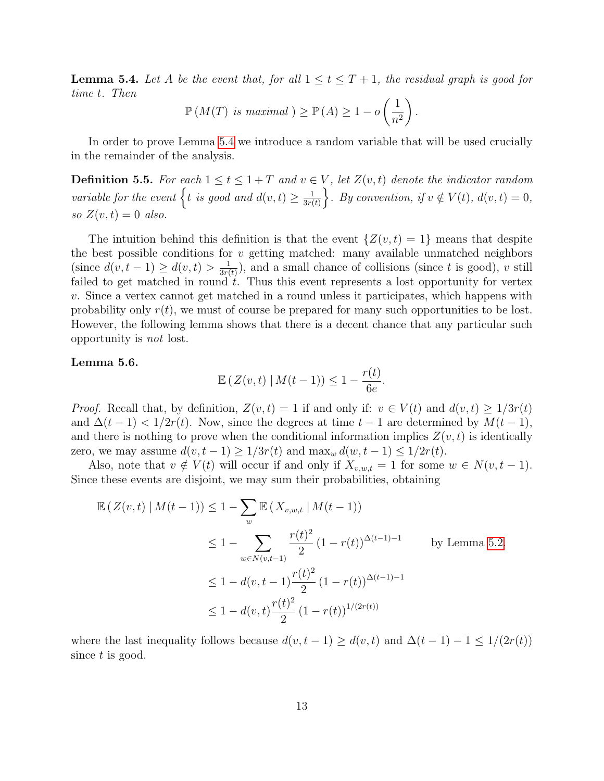<span id="page-13-0"></span>**Lemma 5.4.** Let A be the event that, for all  $1 \le t \le T+1$ , the residual graph is good for time t. Then

$$
\mathbb{P}\left(M(T) \text{ is maximal } \right) \ge \mathbb{P}\left(A\right) \ge 1 - o\left(\frac{1}{n^2}\right).
$$

In order to prove Lemma [5.4](#page-13-0) we introduce a random variable that will be used crucially in the remainder of the analysis.

**Definition 5.5.** For each  $1 \le t \le 1 + T$  and  $v \in V$ , let  $Z(v, t)$  denote the indicator random variable for the event  $\{t \text{ is good and } d(v,t) \geq \frac{1}{3r} \}$  $\frac{1}{3r(t)}\bigg\}$ . By convention, if  $v \notin V(t)$ ,  $d(v, t) = 0$ , so  $Z(v,t) = 0$  also.

The intuition behind this definition is that the event  $\{Z(v, t) = 1\}$  means that despite the best possible conditions for  $v$  getting matched: many available unmatched neighbors (since  $d(v, t-1) \geq d(v, t) > \frac{1}{3r}$  $\frac{1}{3r(t)}$ , and a small chance of collisions (since t is good), v still failed to get matched in round  $\hat{t}$ . Thus this event represents a lost opportunity for vertex v. Since a vertex cannot get matched in a round unless it participates, which happens with probability only  $r(t)$ , we must of course be prepared for many such opportunities to be lost. However, the following lemma shows that there is a decent chance that any particular such opportunity is not lost.

#### <span id="page-13-1"></span>Lemma 5.6.

$$
\mathbb{E}\left(Z(v,t)\mid M(t-1)\right)\leq 1-\frac{r(t)}{6e}.
$$

*Proof.* Recall that, by definition,  $Z(v,t) = 1$  if and only if:  $v \in V(t)$  and  $d(v,t) \geq 1/3r(t)$ and  $\Delta(t-1)$  <  $1/2r(t)$ . Now, since the degrees at time  $t-1$  are determined by  $M(t-1)$ , and there is nothing to prove when the conditional information implies  $Z(v, t)$  is identically zero, we may assume  $d(v, t-1) \geq 1/3r(t)$  and  $\max_w d(w, t-1) \leq 1/2r(t)$ .

Also, note that  $v \notin V(t)$  will occur if and only if  $X_{v,w,t} = 1$  for some  $w \in N(v,t-1)$ . Since these events are disjoint, we may sum their probabilities, obtaining

$$
\mathbb{E}\left(Z(v,t) \mid M(t-1)\right) \le 1 - \sum_{w} \mathbb{E}\left(X_{v,w,t} \mid M(t-1)\right)
$$
\n
$$
\le 1 - \sum_{w \in N(v,t-1)} \frac{r(t)^2}{2} (1 - r(t))^{\Delta(t-1)-1} \qquad \text{by Lemma 5.2.}
$$
\n
$$
\le 1 - d(v,t-1) \frac{r(t)^2}{2} (1 - r(t))^{\Delta(t-1)-1}
$$
\n
$$
\le 1 - d(v,t) \frac{r(t)^2}{2} (1 - r(t))^{1/(2r(t))}
$$

where the last inequality follows because  $d(v, t - 1) \geq d(v, t)$  and  $\Delta(t - 1) - 1 \leq 1/(2r(t))$ since t is good.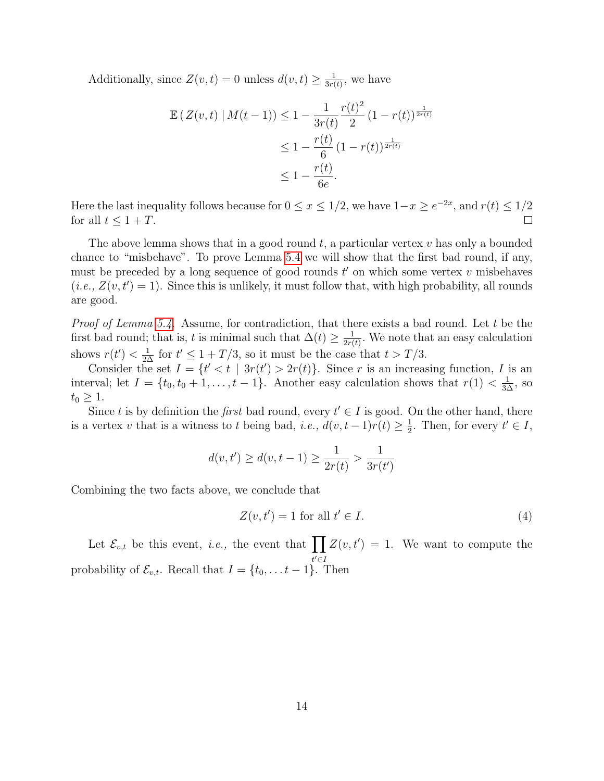Additionally, since  $Z(v,t) = 0$  unless  $d(v,t) \geq \frac{1}{3v}$  $\frac{1}{3r(t)}$ , we have

$$
\mathbb{E}\left(Z(v,t) \mid M(t-1)\right) \le 1 - \frac{1}{3r(t)} \frac{r(t)^2}{2} (1 - r(t))^{\frac{1}{2r(t)}} \n\le 1 - \frac{r(t)}{6} (1 - r(t))^{\frac{1}{2r(t)}} \n\le 1 - \frac{r(t)}{6e}.
$$

Here the last inequality follows because for  $0 \le x \le 1/2$ , we have  $1-x \ge e^{-2x}$ , and  $r(t) \le 1/2$ for all  $t \leq 1 + T$ . П

The above lemma shows that in a good round  $t$ , a particular vertex  $v$  has only a bounded chance to "misbehave". To prove Lemma [5.4](#page-13-0) we will show that the first bad round, if any, must be preceded by a long sequence of good rounds  $t'$  on which some vertex  $v$  misbehaves  $(i.e., Z(v, t') = 1)$ . Since this is unlikely, it must follow that, with high probability, all rounds are good.

*Proof of Lemma [5.4.](#page-13-0)* Assume, for contradiction, that there exists a bad round. Let t be the first bad round; that is, t is minimal such that  $\Delta(t) \geq \frac{1}{2\pi i}$  $\frac{1}{2r(t)}$ . We note that an easy calculation shows  $r(t') < \frac{1}{2\Delta}$  for  $t' \leq 1 + T/3$ , so it must be the case that  $t > T/3$ .

Consider the set  $I = \{t' < t \mid 3r(t') > 2r(t)\}\$ . Since r is an increasing function, I is an interval; let  $I = \{t_0, t_0 + 1, \ldots, t - 1\}$ . Another easy calculation shows that  $r(1) < \frac{1}{3\Delta}$ , so  $t_0 \geq 1$ .

Since t is by definition the first bad round, every  $t' \in I$  is good. On the other hand, there is a vertex v that is a witness to t being bad, i.e.,  $d(v, t-1)r(t) \geq \frac{1}{2}$  $\frac{1}{2}$ . Then, for every  $t' \in I$ ,

$$
d(v, t') \ge d(v, t - 1) \ge \frac{1}{2r(t)} > \frac{1}{3r(t')}
$$

Combining the two facts above, we conclude that

$$
Z(v, t') = 1 \text{ for all } t' \in I.
$$
\n<sup>(4)</sup>

Let  $\mathcal{E}_{v,t}$  be this event, *i.e.*, the event that  $\prod Z(v,t') = 1$ . We want to compute the  $t' \in I$ probability of  $\mathcal{E}_{v,t}$ . Recall that  $I = \{t_0, \ldots t-1\}$ . Then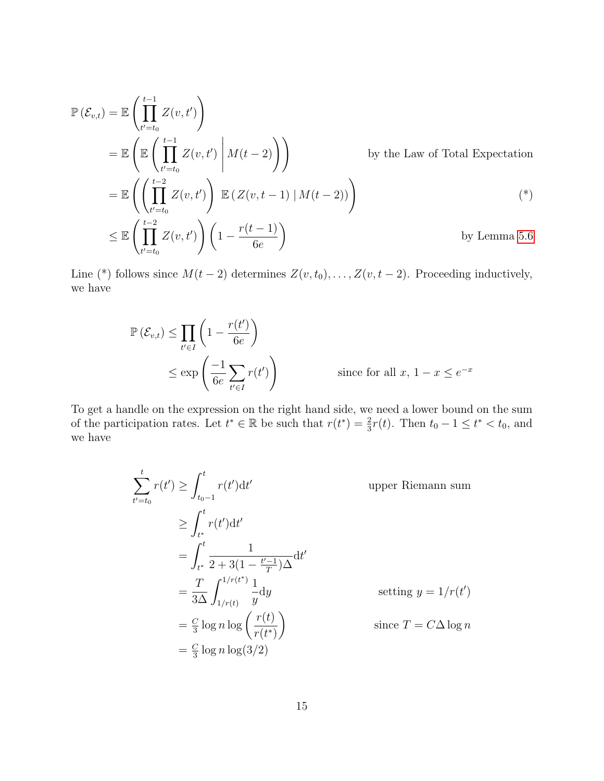$$
\mathbb{P}(\mathcal{E}_{v,t}) = \mathbb{E}\left(\prod_{t'=t_0}^{t-1} Z(v,t')\right)
$$
\n
$$
= \mathbb{E}\left(\mathbb{E}\left(\prod_{t'=t_0}^{t-1} Z(v,t') \middle| M(t-2)\right)\right) \qquad \text{by the Law of Total Expectation}
$$
\n
$$
= \mathbb{E}\left(\left(\prod_{t'=t_0}^{t-2} Z(v,t')\right) \mathbb{E}\left(Z(v,t-1) \middle| M(t-2)\right)\right)
$$
\n
$$
\leq \mathbb{E}\left(\prod_{t'=t_0}^{t-2} Z(v,t')\right) \left(1 - \frac{r(t-1)}{6e}\right) \qquad \text{by Lemma 5.6}
$$

Line (\*) follows since  $M(t-2)$  determines  $Z(v, t_0), \ldots, Z(v, t-2)$ . Proceeding inductively, we have

$$
\mathbb{P}(\mathcal{E}_{v,t}) \le \prod_{t' \in I} \left(1 - \frac{r(t')}{6e}\right)
$$
  
 
$$
\le \exp\left(\frac{-1}{6e} \sum_{t' \in I} r(t')\right) \qquad \text{since for all } x, 1 - x \le e^{-x}
$$

To get a handle on the expression on the right hand side, we need a lower bound on the sum of the participation rates. Let  $t^* \in \mathbb{R}$  be such that  $r(t^*) = \frac{2}{3}r(t)$ . Then  $t_0 - 1 \leq t^* < t_0$ , and we have

$$
\sum_{t'=t_0}^{t} r(t') \ge \int_{t_0-1}^{t} r(t')dt' \qquad \text{upper Riemann sum}
$$
\n
$$
\ge \int_{t^*}^{t} r(t')dt' = \int_{t^*}^{t} \frac{1}{2+3(1-\frac{t'-1}{T})\Delta}dt' = \frac{T}{3\Delta} \int_{1/r(t)}^{1/r(t^*)} \frac{1}{y} dy \qquad \text{setting } y = 1/r(t')
$$
\n
$$
= \frac{C}{3} \log n \log \left(\frac{r(t)}{r(t^*)}\right) \qquad \text{since } T = C\Delta \log n
$$
\n
$$
= \frac{C}{3} \log n \log(3/2)
$$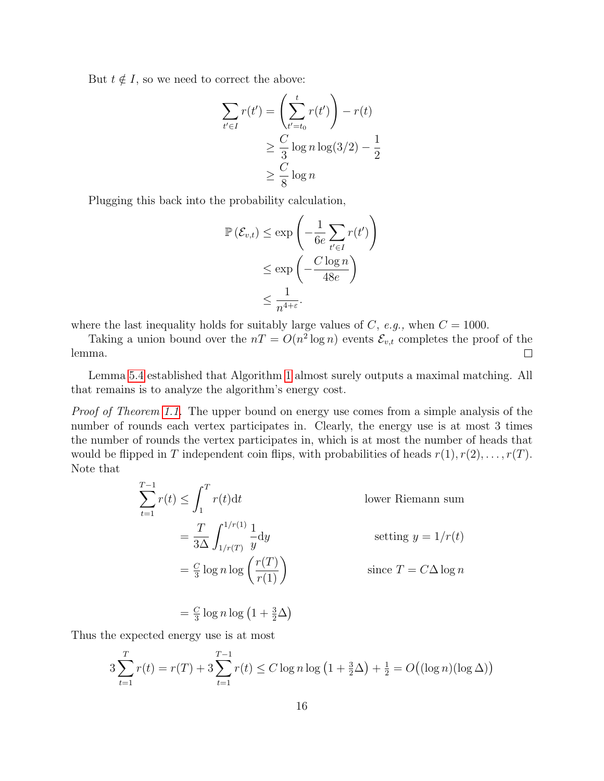But  $t \notin I$ , so we need to correct the above:

$$
\sum_{t' \in I} r(t') = \left(\sum_{t'=t_0}^t r(t')\right) - r(t)
$$

$$
\geq \frac{C}{3} \log n \log(3/2) - \frac{1}{2}
$$

$$
\geq \frac{C}{8} \log n
$$

Plugging this back into the probability calculation,

$$
\mathbb{P}(\mathcal{E}_{v,t}) \le \exp\left(-\frac{1}{6e} \sum_{t' \in I} r(t')\right)
$$
  

$$
\le \exp\left(-\frac{C \log n}{48e}\right)
$$
  

$$
\le \frac{1}{n^{4+\varepsilon}}.
$$

where the last inequality holds for suitably large values of C, e.g., when  $C = 1000$ .

Taking a union bound over the  $nT = O(n^2 \log n)$  events  $\mathcal{E}_{v,t}$  completes the proof of the lemma.  $\Box$ 

Lemma [5.4](#page-13-0) established that Algorithm [1](#page-9-0) almost surely outputs a maximal matching. All that remains is to analyze the algorithm's energy cost.

Proof of Theorem [1.1.](#page-2-0) The upper bound on energy use comes from a simple analysis of the number of rounds each vertex participates in. Clearly, the energy use is at most 3 times the number of rounds the vertex participates in, which is at most the number of heads that would be flipped in T independent coin flips, with probabilities of heads  $r(1), r(2), \ldots, r(T)$ . Note that

$$
\sum_{t=1}^{T-1} r(t) \le \int_1^T r(t) dt
$$
 lower Riemann sum  
=  $\frac{T}{3\Delta} \int_{1/r(T)}^{1/r(1)} \frac{1}{y} dy$  setting  $y = 1/r(t)$   
=  $\frac{C}{3} \log n \log \left( \frac{r(T)}{r(1)} \right)$  since  $T = C\Delta \log n$ 

$$
= \frac{C}{3} \log n \log \left( 1 + \frac{3}{2} \Delta \right)
$$

Thus the expected energy use is at most

$$
3\sum_{t=1}^{T} r(t) = r(T) + 3\sum_{t=1}^{T-1} r(t) \le C \log n \log \left(1 + \frac{3}{2}\Delta\right) + \frac{1}{2} = O\left(\left(\log n\right) \left(\log \Delta\right)\right)
$$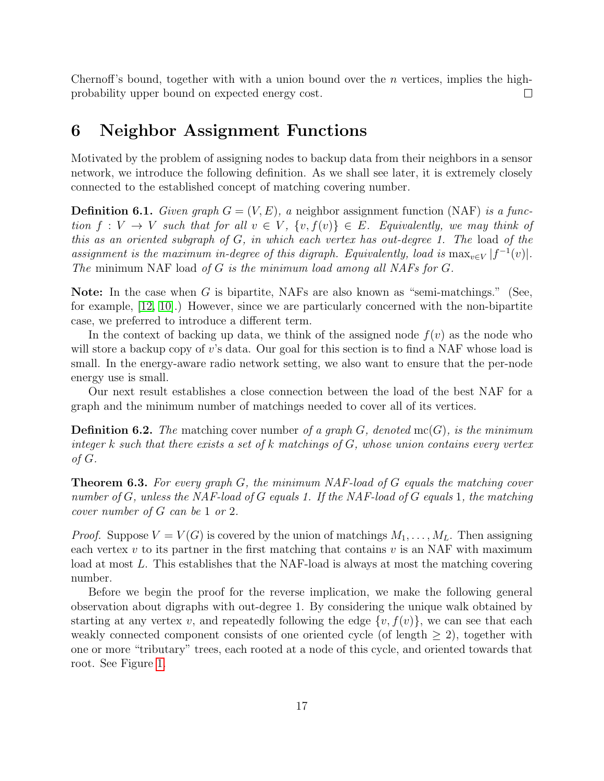Chernoff's bound, together with with a union bound over the n vertices, implies the highprobability upper bound on expected energy cost.  $\Box$ 

# <span id="page-17-0"></span>6 Neighbor Assignment Functions

Motivated by the problem of assigning nodes to backup data from their neighbors in a sensor network, we introduce the following definition. As we shall see later, it is extremely closely connected to the established concept of matching covering number.

**Definition 6.1.** Given graph  $G = (V, E)$ , a neighbor assignment function (NAF) is a function  $f: V \to V$  such that for all  $v \in V$ ,  $\{v, f(v)\} \in E$ . Equivalently, we may think of this as an oriented subgraph of G, in which each vertex has out-degree 1. The load of the assignment is the maximum in-degree of this digraph. Equivalently, load is  $\max_{v \in V} |f^{-1}(v)|$ . The minimum NAF load of G is the minimum load among all NAFs for G.

**Note:** In the case when G is bipartite, NAFs are also known as "semi-matchings." (See, for example, [\[12,](#page-21-10) [10\]](#page-21-11).) However, since we are particularly concerned with the non-bipartite case, we preferred to introduce a different term.

In the context of backing up data, we think of the assigned node  $f(v)$  as the node who will store a backup copy of  $v$ 's data. Our goal for this section is to find a NAF whose load is small. In the energy-aware radio network setting, we also want to ensure that the per-node energy use is small.

Our next result establishes a close connection between the load of the best NAF for a graph and the minimum number of matchings needed to cover all of its vertices.

**Definition 6.2.** The matching cover number of a graph  $G$ , denoted mc( $G$ ), is the minimum integer k such that there exists a set of k matchings of  $G$ , whose union contains every vertex of G.

<span id="page-17-1"></span>**Theorem 6.3.** For every graph  $G$ , the minimum NAF-load of  $G$  equals the matching cover number of G, unless the NAF-load of G equals 1. If the NAF-load of G equals 1, the matching cover number of G can be 1 or 2.

*Proof.* Suppose  $V = V(G)$  is covered by the union of matchings  $M_1, \ldots, M_L$ . Then assigning each vertex  $v$  to its partner in the first matching that contains  $v$  is an NAF with maximum load at most L. This establishes that the NAF-load is always at most the matching covering number.

Before we begin the proof for the reverse implication, we make the following general observation about digraphs with out-degree 1. By considering the unique walk obtained by starting at any vertex v, and repeatedly following the edge  $\{v, f(v)\}\)$ , we can see that each weakly connected component consists of one oriented cycle (of length  $\geq$  2), together with one or more "tributary" trees, each rooted at a node of this cycle, and oriented towards that root. See Figure [1.](#page-18-0)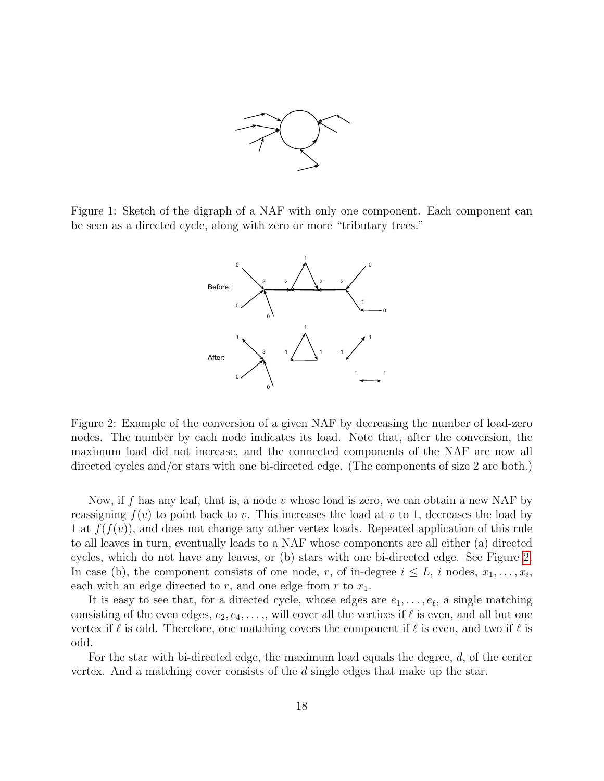

<span id="page-18-0"></span>Figure 1: Sketch of the digraph of a NAF with only one component. Each component can be seen as a directed cycle, along with zero or more "tributary trees."



<span id="page-18-1"></span>Figure 2: Example of the conversion of a given NAF by decreasing the number of load-zero nodes. The number by each node indicates its load. Note that, after the conversion, the maximum load did not increase, and the connected components of the NAF are now all directed cycles and/or stars with one bi-directed edge. (The components of size 2 are both.)

Now, if f has any leaf, that is, a node v whose load is zero, we can obtain a new NAF by reassigning  $f(v)$  to point back to v. This increases the load at v to 1, decreases the load by 1 at  $f(f(v))$ , and does not change any other vertex loads. Repeated application of this rule to all leaves in turn, eventually leads to a NAF whose components are all either (a) directed cycles, which do not have any leaves, or (b) stars with one bi-directed edge. See Figure [2.](#page-18-1) In case (b), the component consists of one node, r, of in-degree  $i \leq L$ , i nodes,  $x_1, \ldots, x_i$ , each with an edge directed to  $r$ , and one edge from  $r$  to  $x_1$ .

It is easy to see that, for a directed cycle, whose edges are  $e_1, \ldots, e_{\ell}$ , a single matching consisting of the even edges,  $e_2, e_4, \ldots$ , will cover all the vertices if  $\ell$  is even, and all but one vertex if  $\ell$  is odd. Therefore, one matching covers the component if  $\ell$  is even, and two if  $\ell$  is odd.

For the star with bi-directed edge, the maximum load equals the degree, d, of the center vertex. And a matching cover consists of the d single edges that make up the star.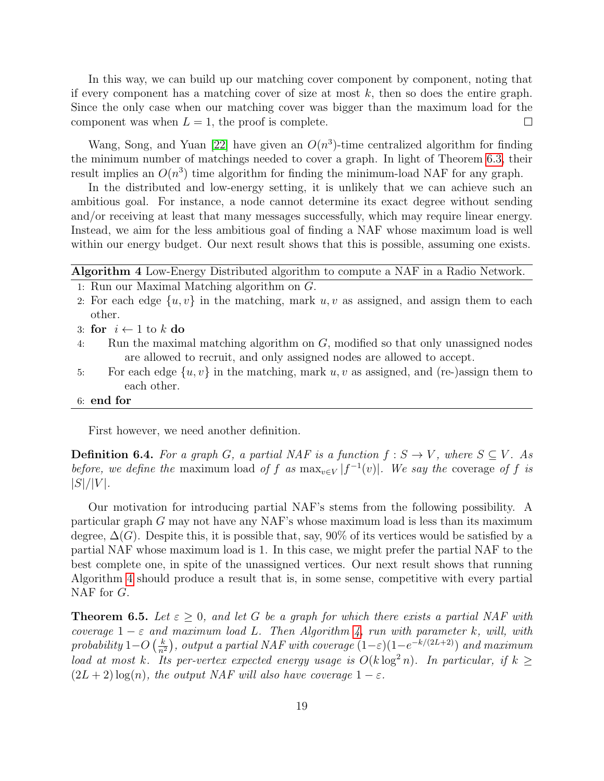In this way, we can build up our matching cover component by component, noting that if every component has a matching cover of size at most  $k$ , then so does the entire graph. Since the only case when our matching cover was bigger than the maximum load for the component was when  $L = 1$ , the proof is complete.  $\Box$ 

Wang, Song, and Yuan [\[22\]](#page-22-9) have given an  $O(n^3)$ -time centralized algorithm for finding the minimum number of matchings needed to cover a graph. In light of Theorem [6.3,](#page-17-1) their result implies an  $O(n^3)$  time algorithm for finding the minimum-load NAF for any graph.

In the distributed and low-energy setting, it is unlikely that we can achieve such an ambitious goal. For instance, a node cannot determine its exact degree without sending and/or receiving at least that many messages successfully, which may require linear energy. Instead, we aim for the less ambitious goal of finding a NAF whose maximum load is well within our energy budget. Our next result shows that this is possible, assuming one exists.

## <span id="page-19-0"></span>Algorithm 4 Low-Energy Distributed algorithm to compute a NAF in a Radio Network.

- 1: Run our Maximal Matching algorithm on G.
- 2: For each edge  $\{u, v\}$  in the matching, mark  $u, v$  as assigned, and assign them to each other.
- 3: for  $i \leftarrow 1$  to  $k$  do
- 4: Run the maximal matching algorithm on G, modified so that only unassigned nodes are allowed to recruit, and only assigned nodes are allowed to accept.
- 5: For each edge  $\{u, v\}$  in the matching, mark u, v as assigned, and (re-)assign them to each other.
- 6: end for

First however, we need another definition.

**Definition 6.4.** For a graph G, a partial NAF is a function  $f : S \to V$ , where  $S \subseteq V$ . As before, we define the maximum load of f as  $\max_{v \in V} |f^{-1}(v)|$ . We say the coverage of f is  $|S|/|V|$ .

Our motivation for introducing partial NAF's stems from the following possibility. A particular graph G may not have any NAF's whose maximum load is less than its maximum degree,  $\Delta(G)$ . Despite this, it is possible that, say, 90% of its vertices would be satisfied by a partial NAF whose maximum load is 1. In this case, we might prefer the partial NAF to the best complete one, in spite of the unassigned vertices. Our next result shows that running Algorithm [4](#page-19-0) should produce a result that is, in some sense, competitive with every partial NAF for G.

**Theorem 6.5.** Let  $\varepsilon \geq 0$ , and let G be a graph for which there exists a partial NAF with coverage  $1 - \varepsilon$  and maximum load L. Then Algorithm [4,](#page-19-0) run with parameter k, will, with probability 1– $O\left(\frac{k}{n^2}\right)$  $\frac{k}{n^2}$ , output a partial NAF with coverage  $(1-\varepsilon)(1-e^{-k/(2L+2)})$  and maximum load at most k. Its per-vertex expected energy usage is  $O(k \log^2 n)$ . In particular, if  $k \geq$  $(2L + 2) \log(n)$ , the output NAF will also have coverage  $1 - \varepsilon$ .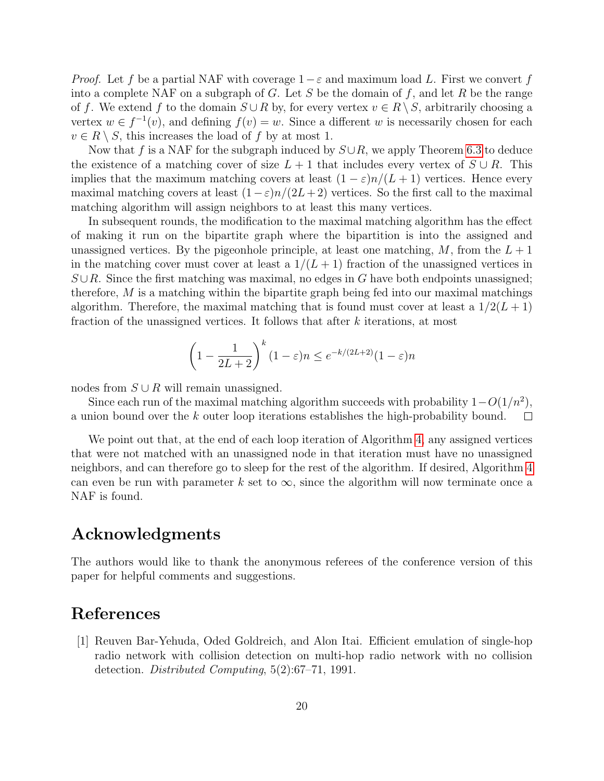*Proof.* Let f be a partial NAF with coverage  $1-\varepsilon$  and maximum load L. First we convert f into a complete NAF on a subgraph of G. Let S be the domain of f, and let R be the range of f. We extend f to the domain  $S \cup R$  by, for every vertex  $v \in R \setminus S$ , arbitrarily choosing a vertex  $w \in f^{-1}(v)$ , and defining  $f(v) = w$ . Since a different w is necessarily chosen for each  $v \in R \setminus S$ , this increases the load of f by at most 1.

Now that f is a NAF for the subgraph induced by  $S\cup R$ , we apply Theorem [6.3](#page-17-1) to deduce the existence of a matching cover of size  $L + 1$  that includes every vertex of  $S \cup R$ . This implies that the maximum matching covers at least  $(1 - \varepsilon)n/(L + 1)$  vertices. Hence every maximal matching covers at least  $(1-\varepsilon)n/(2L+2)$  vertices. So the first call to the maximal matching algorithm will assign neighbors to at least this many vertices.

In subsequent rounds, the modification to the maximal matching algorithm has the effect of making it run on the bipartite graph where the bipartition is into the assigned and unassigned vertices. By the pigeonhole principle, at least one matching,  $M$ , from the  $L + 1$ in the matching cover must cover at least a  $1/(L+1)$  fraction of the unassigned vertices in  $S \cup R$ . Since the first matching was maximal, no edges in G have both endpoints unassigned; therefore,  $M$  is a matching within the bipartite graph being fed into our maximal matchings algorithm. Therefore, the maximal matching that is found must cover at least a  $1/2(L+1)$ fraction of the unassigned vertices. It follows that after k iterations, at most

$$
\left(1 - \frac{1}{2L+2}\right)^k (1 - \varepsilon)n \le e^{-k/(2L+2)}(1 - \varepsilon)n
$$

nodes from  $S \cup R$  will remain unassigned.

Since each run of the maximal matching algorithm succeeds with probability  $1-O(1/n^2)$ , a union bound over the k outer loop iterations establishes the high-probability bound.  $\Box$ 

We point out that, at the end of each loop iteration of Algorithm [4,](#page-19-0) any assigned vertices that were not matched with an unassigned node in that iteration must have no unassigned neighbors, and can therefore go to sleep for the rest of the algorithm. If desired, Algorithm [4](#page-19-0) can even be run with parameter k set to  $\infty$ , since the algorithm will now terminate once a NAF is found.

# Acknowledgments

The authors would like to thank the anonymous referees of the conference version of this paper for helpful comments and suggestions.

# References

<span id="page-20-0"></span>[1] Reuven Bar-Yehuda, Oded Goldreich, and Alon Itai. Efficient emulation of single-hop radio network with collision detection on multi-hop radio network with no collision detection. Distributed Computing, 5(2):67–71, 1991.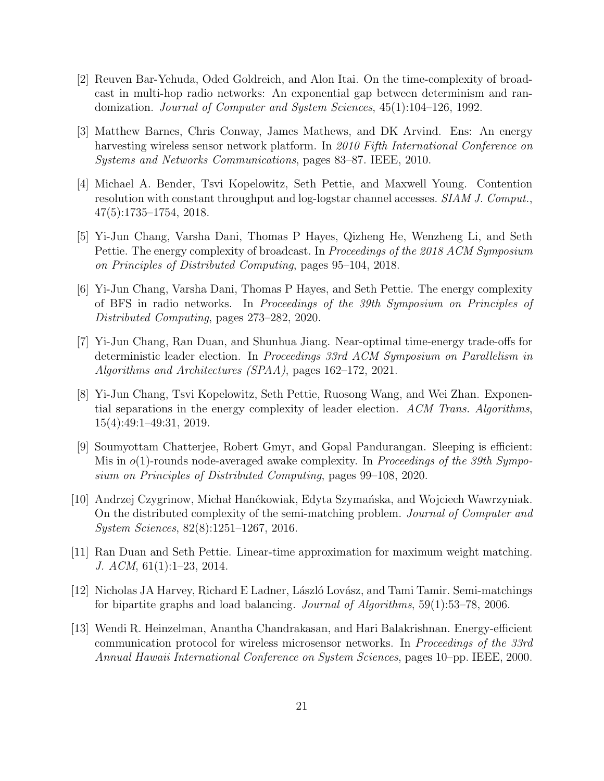- <span id="page-21-8"></span>[2] Reuven Bar-Yehuda, Oded Goldreich, and Alon Itai. On the time-complexity of broadcast in multi-hop radio networks: An exponential gap between determinism and randomization. Journal of Computer and System Sciences, 45(1):104–126, 1992.
- <span id="page-21-0"></span>[3] Matthew Barnes, Chris Conway, James Mathews, and DK Arvind. Ens: An energy harvesting wireless sensor network platform. In 2010 Fifth International Conference on Systems and Networks Communications, pages 83–87. IEEE, 2010.
- <span id="page-21-4"></span>[4] Michael A. Bender, Tsvi Kopelowitz, Seth Pettie, and Maxwell Young. Contention resolution with constant throughput and log-logstar channel accesses. SIAM J. Comput., 47(5):1735–1754, 2018.
- <span id="page-21-2"></span>[5] Yi-Jun Chang, Varsha Dani, Thomas P Hayes, Qizheng He, Wenzheng Li, and Seth Pettie. The energy complexity of broadcast. In Proceedings of the 2018 ACM Symposium on Principles of Distributed Computing, pages 95–104, 2018.
- <span id="page-21-3"></span>[6] Yi-Jun Chang, Varsha Dani, Thomas P Hayes, and Seth Pettie. The energy complexity of BFS in radio networks. In Proceedings of the 39th Symposium on Principles of Distributed Computing, pages 273–282, 2020.
- <span id="page-21-5"></span>[7] Yi-Jun Chang, Ran Duan, and Shunhua Jiang. Near-optimal time-energy trade-offs for deterministic leader election. In Proceedings 33rd ACM Symposium on Parallelism in Algorithms and Architectures (SPAA), pages 162–172, 2021.
- <span id="page-21-6"></span>[8] Yi-Jun Chang, Tsvi Kopelowitz, Seth Pettie, Ruosong Wang, and Wei Zhan. Exponential separations in the energy complexity of leader election. ACM Trans. Algorithms, 15(4):49:1–49:31, 2019.
- <span id="page-21-9"></span>[9] Soumyottam Chatterjee, Robert Gmyr, and Gopal Pandurangan. Sleeping is efficient: Mis in  $o(1)$ -rounds node-averaged awake complexity. In Proceedings of the 39th Symposium on Principles of Distributed Computing, pages 99–108, 2020.
- <span id="page-21-11"></span>[10] Andrzej Czygrinow, Michał Hanćkowiak, Edyta Szymańska, and Wojciech Wawrzyniak. On the distributed complexity of the semi-matching problem. Journal of Computer and System Sciences, 82(8):1251–1267, 2016.
- <span id="page-21-7"></span>[11] Ran Duan and Seth Pettie. Linear-time approximation for maximum weight matching. J. ACM, 61(1):1–23, 2014.
- <span id="page-21-10"></span>[12] Nicholas JA Harvey, Richard E Ladner, László Lovász, and Tami Tamir. Semi-matchings for bipartite graphs and load balancing. Journal of Algorithms, 59(1):53–78, 2006.
- <span id="page-21-1"></span>[13] Wendi R. Heinzelman, Anantha Chandrakasan, and Hari Balakrishnan. Energy-efficient communication protocol for wireless microsensor networks. In Proceedings of the 33rd Annual Hawaii International Conference on System Sciences, pages 10–pp. IEEE, 2000.